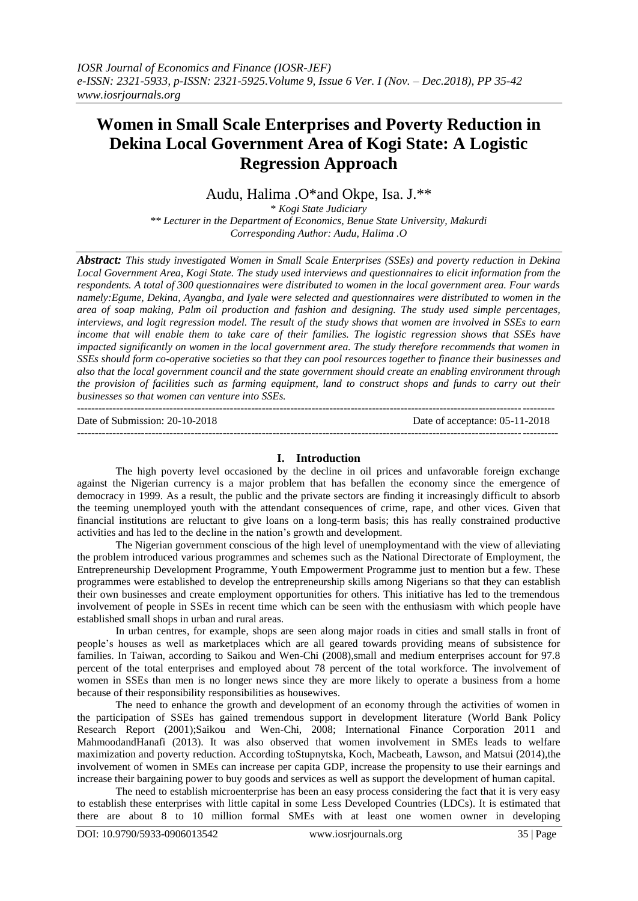# **Women in Small Scale Enterprises and Poverty Reduction in Dekina Local Government Area of Kogi State: A Logistic Regression Approach**

Audu, Halima .O\*and Okpe, Isa. J.\*\*

\* *Kogi State Judiciary \*\* Lecturer in the Department of Economics, Benue State University, Makurdi Corresponding Author: Audu, Halima .O*

*Abstract: This study investigated Women in Small Scale Enterprises (SSEs) and poverty reduction in Dekina Local Government Area, Kogi State. The study used interviews and questionnaires to elicit information from the respondents. A total of 300 questionnaires were distributed to women in the local government area. Four wards namely:Egume, Dekina, Ayangba, and Iyale were selected and questionnaires were distributed to women in the area of soap making, Palm oil production and fashion and designing. The study used simple percentages, interviews, and logit regression model. The result of the study shows that women are involved in SSEs to earn income that will enable them to take care of their families. The logistic regression shows that SSEs have impacted significantly on women in the local government area. The study therefore recommends that women in SSEs should form co-operative societies so that they can pool resources together to finance their businesses and also that the local government council and the state government should create an enabling environment through the provision of facilities such as farming equipment, land to construct shops and funds to carry out their businesses so that women can venture into SSEs.*   $-1.1$ 

Date of Submission: 20-10-2018 Date of acceptance: 05-11-2018

# **I. Introduction**

---------------------------------------------------------------------------------------------------------------------------------------

The high poverty level occasioned by the decline in oil prices and unfavorable foreign exchange against the Nigerian currency is a major problem that has befallen the economy since the emergence of democracy in 1999. As a result, the public and the private sectors are finding it increasingly difficult to absorb the teeming unemployed youth with the attendant consequences of crime, rape, and other vices. Given that financial institutions are reluctant to give loans on a long-term basis; this has really constrained productive activities and has led to the decline in the nation"s growth and development.

The Nigerian government conscious of the high level of unemploymentand with the view of alleviating the problem introduced various programmes and schemes such as the National Directorate of Employment, the Entrepreneurship Development Programme, Youth Empowerment Programme just to mention but a few. These programmes were established to develop the entrepreneurship skills among Nigerians so that they can establish their own businesses and create employment opportunities for others. This initiative has led to the tremendous involvement of people in SSEs in recent time which can be seen with the enthusiasm with which people have established small shops in urban and rural areas.

In urban centres, for example, shops are seen along major roads in cities and small stalls in front of people"s houses as well as marketplaces which are all geared towards providing means of subsistence for families. In Taiwan, according to Saikou and Wen-Chi (2008), small and medium enterprises account for 97.8 percent of the total enterprises and employed about 78 percent of the total workforce. The involvement of women in SSEs than men is no longer news since they are more likely to operate a business from a home because of their responsibility responsibilities as housewives.

The need to enhance the growth and development of an economy through the activities of women in the participation of SSEs has gained tremendous support in development literature (World Bank Policy Research Report (2001);Saikou and Wen-Chi, 2008; International Finance Corporation 2011 and MahmoodandHanafi (2013). It was also observed that women involvement in SMEs leads to welfare maximization and poverty reduction. According toStupnytska, Koch, Macbeath, Lawson, and Matsui (2014),the involvement of women in SMEs can increase per capita GDP, increase the propensity to use their earnings and increase their bargaining power to buy goods and services as well as support the development of human capital.

The need to establish microenterprise has been an easy process considering the fact that it is very easy to establish these enterprises with little capital in some Less Developed Countries (LDCs). It is estimated that there are about 8 to 10 million formal SMEs with at least one women owner in developing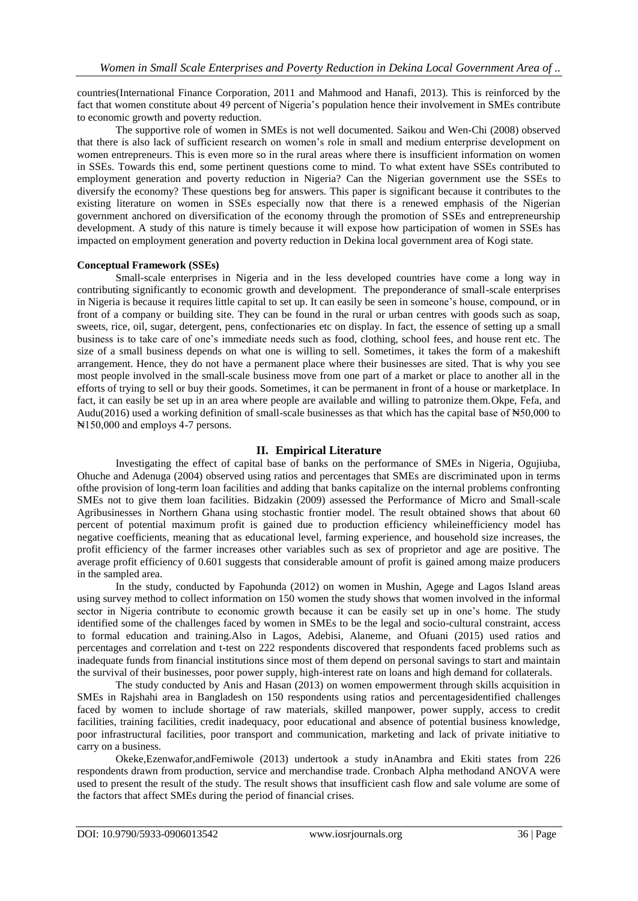countries(International Finance Corporation, 2011 and Mahmood and Hanafi, 2013). This is reinforced by the fact that women constitute about 49 percent of Nigeria"s population hence their involvement in SMEs contribute to economic growth and poverty reduction.

The supportive role of women in SMEs is not well documented. Saikou and Wen-Chi (2008) observed that there is also lack of sufficient research on women"s role in small and medium enterprise development on women entrepreneurs. This is even more so in the rural areas where there is insufficient information on women in SSEs. Towards this end, some pertinent questions come to mind. To what extent have SSEs contributed to employment generation and poverty reduction in Nigeria? Can the Nigerian government use the SSEs to diversify the economy? These questions beg for answers. This paper is significant because it contributes to the existing literature on women in SSEs especially now that there is a renewed emphasis of the Nigerian government anchored on diversification of the economy through the promotion of SSEs and entrepreneurship development. A study of this nature is timely because it will expose how participation of women in SSEs has impacted on employment generation and poverty reduction in Dekina local government area of Kogi state.

## **Conceptual Framework (SSEs)**

Small-scale enterprises in Nigeria and in the less developed countries have come a long way in contributing significantly to economic growth and development. The preponderance of small-scale enterprises in Nigeria is because it requires little capital to set up. It can easily be seen in someone's house, compound, or in front of a company or building site. They can be found in the rural or urban centres with goods such as soap, sweets, rice, oil, sugar, detergent, pens, confectionaries etc on display. In fact, the essence of setting up a small business is to take care of one"s immediate needs such as food, clothing, school fees, and house rent etc. The size of a small business depends on what one is willing to sell. Sometimes, it takes the form of a makeshift arrangement. Hence, they do not have a permanent place where their businesses are sited. That is why you see most people involved in the small-scale business move from one part of a market or place to another all in the efforts of trying to sell or buy their goods. Sometimes, it can be permanent in front of a house or marketplace. In fact, it can easily be set up in an area where people are available and willing to patronize them.Okpe, Fefa, and Audu(2016) used a working definition of small-scale businesses as that which has the capital base of N50,000 to ₦150,000 and employs 4-7 persons.

# **II. Empirical Literature**

Investigating the effect of capital base of banks on the performance of SMEs in Nigeria, Ogujiuba, Ohuche and Adenuga (2004) observed using ratios and percentages that SMEs are discriminated upon in terms ofthe provision of long-term loan facilities and adding that banks capitalize on the internal problems confronting SMEs not to give them loan facilities. Bidzakin (2009) assessed the Performance of Micro and Small-scale Agribusinesses in Northern Ghana using stochastic frontier model. The result obtained shows that about 60 percent of potential maximum profit is gained due to production efficiency whileinefficiency model has negative coefficients, meaning that as educational level, farming experience, and household size increases, the profit efficiency of the farmer increases other variables such as sex of proprietor and age are positive. The average profit efficiency of 0.601 suggests that considerable amount of profit is gained among maize producers in the sampled area.

In the study, conducted by Fapohunda (2012) on women in Mushin, Agege and Lagos Island areas using survey method to collect information on 150 women the study shows that women involved in the informal sector in Nigeria contribute to economic growth because it can be easily set up in one's home. The study identified some of the challenges faced by women in SMEs to be the legal and socio-cultural constraint, access to formal education and training.Also in Lagos, Adebisi, Alaneme, and Ofuani (2015) used ratios and percentages and correlation and t-test on 222 respondents discovered that respondents faced problems such as inadequate funds from financial institutions since most of them depend on personal savings to start and maintain the survival of their businesses, poor power supply, high-interest rate on loans and high demand for collaterals.

The study conducted by Anis and Hasan (2013) on women empowerment through skills acquisition in SMEs in Rajshahi area in Bangladesh on 150 respondents using ratios and percentagesidentified challenges faced by women to include shortage of raw materials, skilled manpower, power supply, access to credit facilities, training facilities, credit inadequacy, poor educational and absence of potential business knowledge, poor infrastructural facilities, poor transport and communication, marketing and lack of private initiative to carry on a business.

Okeke,Ezenwafor,andFemiwole (2013) undertook a study inAnambra and Ekiti states from 226 respondents drawn from production, service and merchandise trade. Cronbach Alpha methodand ANOVA were used to present the result of the study. The result shows that insufficient cash flow and sale volume are some of the factors that affect SMEs during the period of financial crises.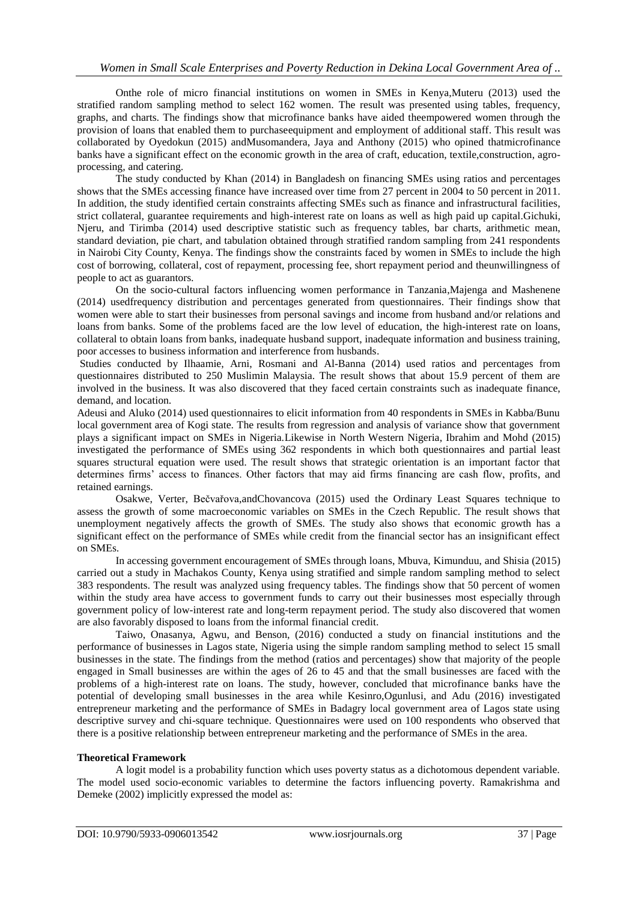Onthe role of micro financial institutions on women in SMEs in Kenya,Muteru (2013) used the stratified random sampling method to select 162 women. The result was presented using tables, frequency, graphs, and charts. The findings show that microfinance banks have aided theempowered women through the provision of loans that enabled them to purchaseequipment and employment of additional staff. This result was collaborated by Oyedokun (2015) andMusomandera, Jaya and Anthony (2015) who opined thatmicrofinance banks have a significant effect on the economic growth in the area of craft, education, textile,construction, agroprocessing, and catering.

The study conducted by Khan (2014) in Bangladesh on financing SMEs using ratios and percentages shows that the SMEs accessing finance have increased over time from 27 percent in 2004 to 50 percent in 2011. In addition, the study identified certain constraints affecting SMEs such as finance and infrastructural facilities, strict collateral, guarantee requirements and high-interest rate on loans as well as high paid up capital.Gichuki, Njeru, and Tirimba (2014) used descriptive statistic such as frequency tables, bar charts, arithmetic mean, standard deviation, pie chart, and tabulation obtained through stratified random sampling from 241 respondents in Nairobi City County, Kenya. The findings show the constraints faced by women in SMEs to include the high cost of borrowing, collateral, cost of repayment, processing fee, short repayment period and theunwillingness of people to act as guarantors.

On the socio-cultural factors influencing women performance in Tanzania,Majenga and Mashenene (2014) usedfrequency distribution and percentages generated from questionnaires. Their findings show that women were able to start their businesses from personal savings and income from husband and/or relations and loans from banks. Some of the problems faced are the low level of education, the high-interest rate on loans, collateral to obtain loans from banks, inadequate husband support, inadequate information and business training, poor accesses to business information and interference from husbands.

Studies conducted by Ilhaamie, Arni, Rosmani and Al-Banna (2014) used ratios and percentages from questionnaires distributed to 250 Muslimin Malaysia. The result shows that about 15.9 percent of them are involved in the business. It was also discovered that they faced certain constraints such as inadequate finance, demand, and location.

Adeusi and Aluko (2014) used questionnaires to elicit information from 40 respondents in SMEs in Kabba/Bunu local government area of Kogi state. The results from regression and analysis of variance show that government plays a significant impact on SMEs in Nigeria.Likewise in North Western Nigeria, Ibrahim and Mohd (2015) investigated the performance of SMEs using 362 respondents in which both questionnaires and partial least squares structural equation were used. The result shows that strategic orientation is an important factor that determines firms' access to finances. Other factors that may aid firms financing are cash flow, profits, and retained earnings.

Osakwe, Verter, Bečvařova,andChovancova (2015) used the Ordinary Least Squares technique to assess the growth of some macroeconomic variables on SMEs in the Czech Republic. The result shows that unemployment negatively affects the growth of SMEs. The study also shows that economic growth has a significant effect on the performance of SMEs while credit from the financial sector has an insignificant effect on SMEs.

In accessing government encouragement of SMEs through loans, Mbuva, Kimunduu, and Shisia (2015) carried out a study in Machakos County, Kenya using stratified and simple random sampling method to select 383 respondents. The result was analyzed using frequency tables. The findings show that 50 percent of women within the study area have access to government funds to carry out their businesses most especially through government policy of low-interest rate and long-term repayment period. The study also discovered that women are also favorably disposed to loans from the informal financial credit.

Taiwo, Onasanya, Agwu, and Benson, (2016) conducted a study on financial institutions and the performance of businesses in Lagos state, Nigeria using the simple random sampling method to select 15 small businesses in the state. The findings from the method (ratios and percentages) show that majority of the people engaged in Small businesses are within the ages of 26 to 45 and that the small businesses are faced with the problems of a high-interest rate on loans. The study, however, concluded that microfinance banks have the potential of developing small businesses in the area while Kesinro,Ogunlusi, and Adu (2016) investigated entrepreneur marketing and the performance of SMEs in Badagry local government area of Lagos state using descriptive survey and chi-square technique. Questionnaires were used on 100 respondents who observed that there is a positive relationship between entrepreneur marketing and the performance of SMEs in the area.

# **Theoretical Framework**

A logit model is a probability function which uses poverty status as a dichotomous dependent variable. The model used socio-economic variables to determine the factors influencing poverty. Ramakrishma and Demeke (2002) implicitly expressed the model as: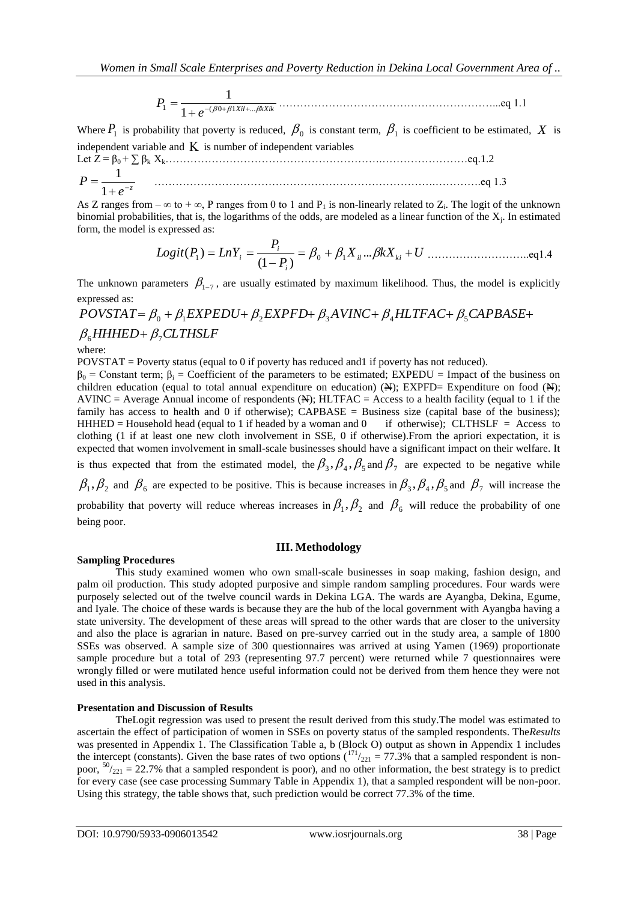*Xil kXik e P*<sup>1</sup> ( <sup>0</sup> <sup>1</sup> ... 1 1 ……………………………………………………...eq 1.1

Where  $P_1$  is probability that poverty is reduced,  $\beta_0$  is constant term,  $\beta_1$  is coefficient to be estimated, X is independent variable and  $K$  is number of independent variables

Let Z = β0 + ∑ βk Xk…………………………………………………….……………………eq.1.2  $P = \frac{1}{1+e^{-z}}$  $=$ 1 <sup>1</sup> …………………………………………………………………….………….eq 1.3

As Z ranges from  $-\infty$  to  $+\infty$ , P ranges from 0 to 1 and P<sub>1</sub> is non-linearly related to Z<sub>i</sub>. The logit of the unknown binomial probabilities, that is, the logarithms of the odds, are modeled as a linear function of the  $X_j$ . In estimated form, the model is expressed as:

expressed as:  
\n
$$
Logit(P_1) = LnY_i = \frac{P_i}{(1 - P_i)} = \beta_0 + \beta_1 X_{il} ... \beta k X_{ki} + U
$$
............eq1.4

The unknown parameters  $\beta_{1-7}$ , are usually estimated by maximum likelihood. Thus, the model is explicitly expressed as:

 $\beta_{6}$ HHHED+ $\beta_{7}$ CLTHSLF  $POVSTAR = \beta_0 + \beta_1 EXPEDU + \beta_2 EXPFD + \beta_3 AVINC + \beta_4 HLTFAC + \beta_5 CAPBASE +$ 

where:

 $POVSTAT = Powerty$  status (equal to 0 if poverty has reduced and1 if poverty has not reduced).

 $β_0$  = Constant term;  $β_i$  = Coefficient of the parameters to be estimated; EXPEDU = Impact of the business on children education (equal to total annual expenditure on education) ( $\mathbb{A}$ ); EXPFD= Expenditure on food ( $\mathbb{A}$ ); AVINC = Average Annual income of respondents  $(A)$ ; HLTFAC = Access to a health facility (equal to 1 if the family has access to health and 0 if otherwise);  $CAPBASE = Business size$  (capital base of the business); HHHED = Household head (equal to 1 if headed by a woman and 0 if otherwise); CLTHSLF = Access to clothing (1 if at least one new cloth involvement in SSE, 0 if otherwise).From the apriori expectation, it is expected that women involvement in small-scale businesses should have a significant impact on their welfare. It is thus expected that from the estimated model, the  $\beta_3$ ,  $\beta_4$ ,  $\beta_5$  and  $\beta_7$  are expected to be negative while  $\beta_1, \beta_2$  and  $\beta_6$  are expected to be positive. This is because increases in  $\beta_3, \beta_4, \beta_5$  and  $\beta_7$  will increase the probability that poverty will reduce whereas increases in  $\beta_1, \beta_2$  and  $\beta_6$  will reduce the probability of one being poor.

## **III. Methodology**

## **Sampling Procedures**

This study examined women who own small-scale businesses in soap making, fashion design, and palm oil production. This study adopted purposive and simple random sampling procedures. Four wards were purposely selected out of the twelve council wards in Dekina LGA. The wards are Ayangba, Dekina, Egume, and Iyale. The choice of these wards is because they are the hub of the local government with Ayangba having a state university. The development of these areas will spread to the other wards that are closer to the university and also the place is agrarian in nature. Based on pre-survey carried out in the study area, a sample of 1800 SSEs was observed. A sample size of 300 questionnaires was arrived at using Yamen (1969) proportionate sample procedure but a total of 293 (representing 97.7 percent) were returned while 7 questionnaires were wrongly filled or were mutilated hence useful information could not be derived from them hence they were not used in this analysis.

## **Presentation and Discussion of Results**

TheLogit regression was used to present the result derived from this study.The model was estimated to ascertain the effect of participation of women in SSEs on poverty status of the sampled respondents. The*Results* was presented in Appendix 1. The Classification Table a, b (Block O) output as shown in Appendix 1 includes the intercept (constants). Given the base rates of two options  $\binom{171}{221} = 77.3\%$  that a sampled respondent is nonpoor,  $50/221$  = 22.7% that a sampled respondent is poor), and no other information, the best strategy is to predict for every case (see case processing Summary Table in Appendix 1), that a sampled respondent will be non-poor. Using this strategy, the table shows that, such prediction would be correct 77.3% of the time.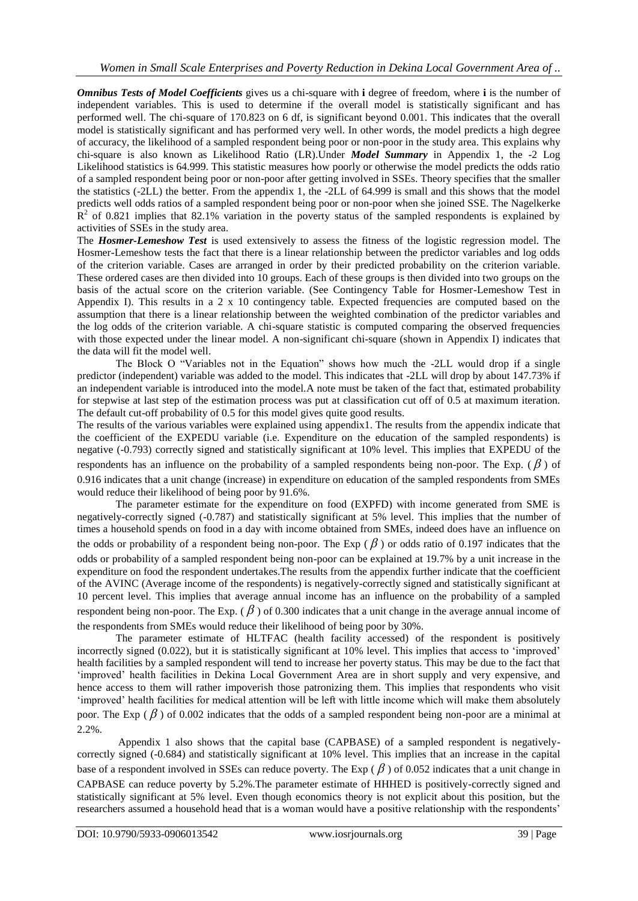*Omnibus Tests of Model Coefficients* gives us a chi-square with **i** degree of freedom, where **i** is the number of independent variables. This is used to determine if the overall model is statistically significant and has performed well. The chi-square of 170.823 on 6 df, is significant beyond 0.001. This indicates that the overall model is statistically significant and has performed very well. In other words, the model predicts a high degree of accuracy, the likelihood of a sampled respondent being poor or non-poor in the study area. This explains why chi-square is also known as Likelihood Ratio (LR).Under *Model Summary* in Appendix 1, the -2 Log Likelihood statistics is 64.999. This statistic measures how poorly or otherwise the model predicts the odds ratio of a sampled respondent being poor or non-poor after getting involved in SSEs. Theory specifies that the smaller the statistics (-2LL) the better. From the appendix 1, the -2LL of 64.999 is small and this shows that the model predicts well odds ratios of a sampled respondent being poor or non-poor when she joined SSE. The Nagelkerke  $\mathbb{R}^2$  of 0.821 implies that 82.1% variation in the poverty status of the sampled respondents is explained by activities of SSEs in the study area.

The *Hosmer-Lemeshow Test* is used extensively to assess the fitness of the logistic regression model. The Hosmer-Lemeshow tests the fact that there is a linear relationship between the predictor variables and log odds of the criterion variable. Cases are arranged in order by their predicted probability on the criterion variable. These ordered cases are then divided into 10 groups. Each of these groups is then divided into two groups on the basis of the actual score on the criterion variable. (See Contingency Table for Hosmer-Lemeshow Test in Appendix I). This results in a 2 x 10 contingency table. Expected frequencies are computed based on the assumption that there is a linear relationship between the weighted combination of the predictor variables and the log odds of the criterion variable. A chi-square statistic is computed comparing the observed frequencies with those expected under the linear model. A non-significant chi-square (shown in Appendix I) indicates that the data will fit the model well.

The Block O "Variables not in the Equation" shows how much the -2LL would drop if a single predictor (independent) variable was added to the model. This indicates that -2LL will drop by about 147.73% if an independent variable is introduced into the model.A note must be taken of the fact that, estimated probability for stepwise at last step of the estimation process was put at classification cut off of 0.5 at maximum iteration. The default cut-off probability of 0.5 for this model gives quite good results.

The results of the various variables were explained using appendix1. The results from the appendix indicate that the coefficient of the EXPEDU variable (i.e. Expenditure on the education of the sampled respondents) is negative (-0.793) correctly signed and statistically significant at 10% level. This implies that EXPEDU of the respondents has an influence on the probability of a sampled respondents being non-poor. The Exp. ( $\beta$ ) of 0.916 indicates that a unit change (increase) in expenditure on education of the sampled respondents from SMEs would reduce their likelihood of being poor by 91.6%.

The parameter estimate for the expenditure on food (EXPFD) with income generated from SME is negatively-correctly signed (-0.787) and statistically significant at 5% level. This implies that the number of times a household spends on food in a day with income obtained from SMEs, indeed does have an influence on the odds or probability of a respondent being non-poor. The Exp ( $\beta$ ) or odds ratio of 0.197 indicates that the odds or probability of a sampled respondent being non-poor can be explained at 19.7% by a unit increase in the expenditure on food the respondent undertakes.The results from the appendix further indicate that the coefficient of the AVINC (Average income of the respondents) is negatively-correctly signed and statistically significant at 10 percent level. This implies that average annual income has an influence on the probability of a sampled respondent being non-poor. The Exp. ( $\beta$ ) of 0.300 indicates that a unit change in the average annual income of the respondents from SMEs would reduce their likelihood of being poor by 30%.

The parameter estimate of HLTFAC (health facility accessed) of the respondent is positively incorrectly signed (0.022), but it is statistically significant at 10% level. This implies that access to "improved" health facilities by a sampled respondent will tend to increase her poverty status. This may be due to the fact that "improved" health facilities in Dekina Local Government Area are in short supply and very expensive, and hence access to them will rather impoverish those patronizing them. This implies that respondents who visit "improved" health facilities for medical attention will be left with little income which will make them absolutely poor. The Exp ( $\beta$ ) of 0.002 indicates that the odds of a sampled respondent being non-poor are a minimal at 2.2%.

Appendix 1 also shows that the capital base (CAPBASE) of a sampled respondent is negativelycorrectly signed (-0.684) and statistically significant at 10% level. This implies that an increase in the capital base of a respondent involved in SSEs can reduce poverty. The Exp ( $\beta$ ) of 0.052 indicates that a unit change in CAPBASE can reduce poverty by 5.2%.The parameter estimate of HHHED is positively-correctly signed and statistically significant at 5% level. Even though economics theory is not explicit about this position, but the researchers assumed a household head that is a woman would have a positive relationship with the respondents"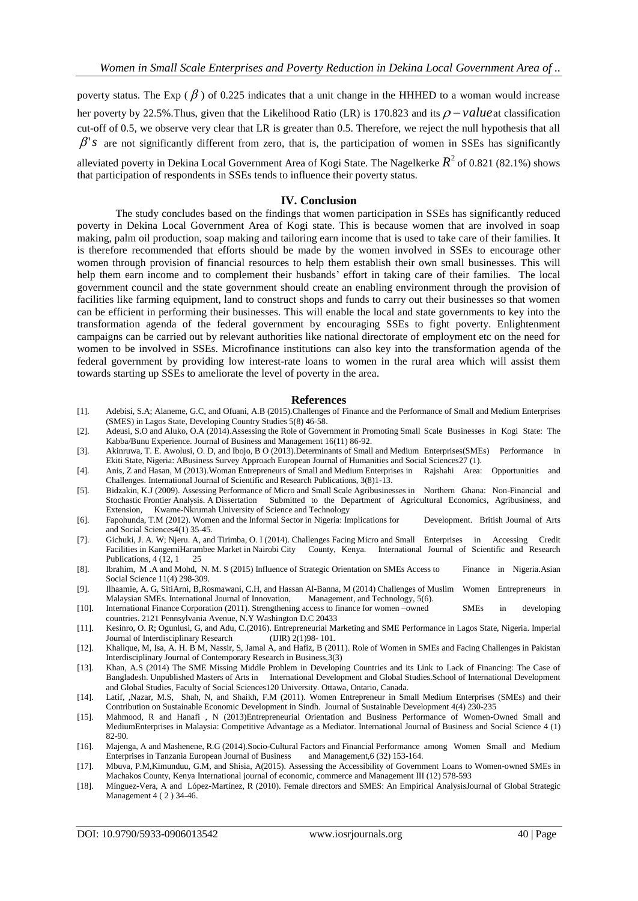poverty status. The Exp ( $\beta$ ) of 0.225 indicates that a unit change in the HHHED to a woman would increase her poverty by 22.5%. Thus, given that the Likelihood Ratio (LR) is 170.823 and its  $\rho$  – value at classification cut-off of 0.5, we observe very clear that LR is greater than 0.5. Therefore, we reject the null hypothesis that all  $\beta$ '*s* are not significantly different from zero, that is, the participation of women in SSEs has significantly

alleviated poverty in Dekina Local Government Area of Kogi State. The Nagelkerke  $R^2$  of 0.821 (82.1%) shows that participation of respondents in SSEs tends to influence their poverty status.

#### **IV. Conclusion**

The study concludes based on the findings that women participation in SSEs has significantly reduced poverty in Dekina Local Government Area of Kogi state. This is because women that are involved in soap making, palm oil production, soap making and tailoring earn income that is used to take care of their families. It is therefore recommended that efforts should be made by the women involved in SSEs to encourage other women through provision of financial resources to help them establish their own small businesses. This will help them earn income and to complement their husbands' effort in taking care of their families. The local government council and the state government should create an enabling environment through the provision of facilities like farming equipment, land to construct shops and funds to carry out their businesses so that women can be efficient in performing their businesses. This will enable the local and state governments to key into the transformation agenda of the federal government by encouraging SSEs to fight poverty. Enlightenment campaigns can be carried out by relevant authorities like national directorate of employment etc on the need for women to be involved in SSEs. Microfinance institutions can also key into the transformation agenda of the federal government by providing low interest-rate loans to women in the rural area which will assist them towards starting up SSEs to ameliorate the level of poverty in the area.

#### **References**

- [1]. Adebisi, S.A; Alaneme, G.C, and Ofuani, A.B (2015).Challenges of Finance and the Performance of Small and Medium Enterprises (SMES) in Lagos State, Developing Country Studies 5(8) 46-58.
- [2]. Adeusi, S.O and Aluko, O.A (2014).Assessing the Role of Government in Promoting Small Scale Businesses in Kogi State: The Kabba/Bunu Experience. Journal of Business and Management 16(11) 86-92.
- [3]. Akinruwa, T. E. Awolusi, O. D, and Ibojo, B O (2013).Determinants of Small and Medium Enterprises(SMEs) Performance in Ekiti State, Nigeria: ABusiness Survey Approach European Journal of Humanities and Social Sciences27 (1).
- [4]. Anis, Z and Hasan, M (2013).Woman Entrepreneurs of Small and Medium Enterprises in Rajshahi Area: Opportunities and Challenges. International Journal of Scientific and Research Publications, 3(8)1-13.
- [5]. Bidzakin, K.J (2009). Assessing Performance of Micro and Small Scale Agribusinesses in Northern Ghana: Non-Financial and Stochastic Frontier Analysis. A Dissertation Submitted to the Department of Agricultural Economics, Agribusiness, and Extension, Kwame-Nkrumah University of Science and Technology
- [6]. Fapohunda, T.M (2012). Women and the Informal Sector in Nigeria: Implications for Development. British Journal of Arts and Social Sciences4(1) 35-45.
- [7]. Gichuki, J. A. W; Njeru. A, and Tirimba, O. I (2014). Challenges Facing Micro and Small Enterprises in Accessing Credit Facilities in KangemiHarambee Market in Nairobi City County, Kenya. International Journal of Scientific and Research Publications, 4 (12, 1 25
- [8]. Ibrahim, M .A and Mohd, N. M. S (2015) Influence of Strategic Orientation on SMEs Access to Finance in Nigeria.Asian Social Science 11(4) 298-309.
- [9]. Ilhaamie, A. G, SitiArni, B,Rosmawani, C.H, and Hassan Al-Banna, M (2014) Challenges of Muslim Women Entrepreneurs in Malaysian SMEs. International Journal of Innovation, Management, and Technology, 5(6).
- [10]. International Finance Corporation (2011). Strengthening access to finance for women –owned SMEs in developing countries. 2121 Pennsylvania Avenue, N.Y Washington D.C 20433
- [11]. Kesinro, O. R; Ogunlusi, G, and Adu, C.(2016). Entrepreneurial Marketing and SME Performance in Lagos State, Nigeria. Imperial Journal of Interdisciplinary Research (IJIR) 2(1)98- 101.
- [12]. Khalique, M, Isa, A. H. B M, Nassir, S, Jamal A, and Hafiz, B (2011). Role of Women in SMEs and Facing Challenges in Pakistan Interdisciplinary Journal of Contemporary Research in Business,3(3)
- [13]. Khan, A.S (2014) The SME Missing Middle Problem in Developing Countries and its Link to Lack of Financing: The Case of Bangladesh. Unpublished Masters of Arts in International Development and Global Studies.School of International Development and Global Studies, Faculty of Social Sciences120 University. Ottawa, Ontario, Canada.
- [14]. Latif, ,Nazar, M.S, Shah, N, and Shaikh, F.M (2011). Women Entrepreneur in Small Medium Enterprises (SMEs) and their Contribution on Sustainable Economic Development in Sindh. Journal of Sustainable Development 4(4) 230-235
- [15]. Mahmood, R and Hanafi , N (2013)Entrepreneurial Orientation and Business Performance of Women-Owned Small and MediumEnterprises in Malaysia: Competitive Advantage as a Mediator. International Journal of Business and Social Science 4 (1) 82-90.
- [16]. Majenga, A and Mashenene, R.G (2014).Socio-Cultural Factors and Financial Performance among Women Small and Medium Enterprises in Tanzania European Journal of Business and Management,6 (32) 153-164.
- [17]. Mbuva, P.M,Kimunduu, G.M, and Shisia, A(2015). Assessing the Accessibility of Government Loans to Women-owned SMEs in Machakos County, Kenya International journal of economic, commerce and Management III (12) 578-593
- [18]. Mínguez-Vera, A and López-Martínez, R (2010). Female directors and SMES: An Empirical AnalysisJournal of Global Strategic Management 4 ( 2 ) 34-46.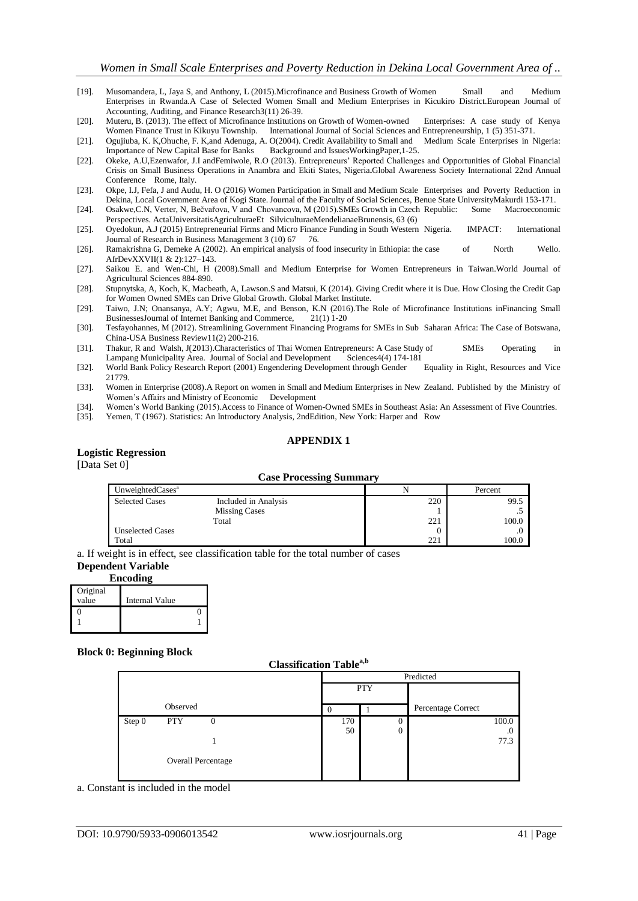- [19]. Musomandera, L, Jaya S, and Anthony, L (2015).Microfinance and Business Growth of Women Small and Medium Enterprises in Rwanda.A Case of Selected Women Small and Medium Enterprises in Kicukiro District.European Journal of Accounting, Auditing, and Finance Research3(11) 26-39.
- [20]. Muteru, B. (2013). The effect of Microfinance Institutions on Growth of Women-owned Enterprises: A case study of Kenya Women Finance Trust in Kikuyu Township. International Journal of Social Sciences and Entrepreneurship, 1 (5) 351-371.
- [21]. Ogujiuba, K. K,Ohuche, F. K,and Adenuga, A. O(2004). Credit Availability to Small and Medium Scale Enterprises in Nigeria: Importance of New Capital Base for Banks
- [22]. Okeke, A.U,Ezenwafor, J.I andFemiwole, R.O (2013). Entrepreneurs" Reported Challenges and Opportunities of Global Financial Crisis on Small Business Operations in Anambra and Ekiti States, Nigeria**.**Global Awareness Society International 22nd Annual Conference Rome, Italy.
- [23]. Okpe, I.J, Fefa, J and Audu, H. O (2016) Women Participation in Small and Medium Scale Enterprises and Poverty Reduction in Dekina, Local Government Area of Kogi State.Journal of the Faculty of Social Sciences, Benue State UniversityMakurdi 153-171.
- [24]. Osakwe,C.N, Verter, N, Bečvařova, V and Chovancova, M (2015).SMEs Growth in Czech Republic: Some Macroeconomic Perspectives. ActaUniversitatisAgriculturaeEt SilviculturaeMendelianaeBrunensis, 63 (6)
- [25]. Oyedokun, A.J (2015) Entrepreneurial Firms and Micro Finance Funding in South Western Nigeria. IMPACT: International Journal of Research in Business Management 3 (10) 67 76.
- [26]. Ramakrishna G, Demeke A (2002). An empirical analysis of food insecurity in Ethiopia: the case of North Wello. AfrDevXXVII(1 & 2):127–143.
- [27]. Saikou E. and Wen-Chi, H (2008).Small and Medium Enterprise for Women Entrepreneurs in Taiwan.World Journal of Agricultural Sciences 884-890.
- [28]. Stupnytska, A, Koch, K, Macbeath, A, Lawson.S and Matsui, K (2014). Giving Credit where it is Due. How Closing the Credit Gap for Women Owned SMEs can Drive Global Growth. Global Market Institute.
- [29]. Taiwo, J.N; Onansanya, A.Y; Agwu, M.E, and Benson, K.N (2016).The Role of Microfinance Institutions inFinancing Small BusinessesJournal of Internet Banking and Commerce, 21(1) 1-20
- [30]. Tesfayohannes, M (2012). Streamlining Government Financing Programs for SMEs in Sub Saharan Africa: The Case of Botswana, China-USA Business Review11(2) 200-216.
- [31]. Thakur, R and Walsh, J(2013).Characteristics of Thai Women Entrepreneurs: A Case Study of SMEs Operating in Lampang Municipality Area. Journal of Social and Development Sciences4(4) 174-181 Lampang Municipality Area. Journal of Social and Development
- [32]. World Bank Policy Research Report (2001) Engendering Development through Gender Equality in Right, Resources and Vice 21779.
- [33]. Women in Enterprise (2008).A Report on women in Small and Medium Enterprises in New Zealand. Published by the Ministry of Women"s Affairs and Ministry of Economic Development
- [34]. Women"s World Banking (2015).Access to Finance of Women-Owned SMEs in Southeast Asia: An Assessment of Five Countries.
- [35]. Yemen, T (1967). Statistics: An Introductory Analysis, 2ndEdition, New York: Harper and Row

#### **APPENDIX 1**

## **Logistic Regression**

[Data Set 0]

#### **Case Processing Summary**

| UnweightedCases <sup>a</sup> |                      |     | Percent |
|------------------------------|----------------------|-----|---------|
| <b>Selected Cases</b>        | Included in Analysis | 220 | 99.5    |
|                              | <b>Missing Cases</b> |     |         |
|                              | Total                | 221 | 100.0   |
| <b>Unselected Cases</b>      |                      |     |         |
| Total                        |                      | 221 | 100.0   |

a. If weight is in effect, see classification table for the total number of cases

1

## **Dependent Variable**

1

| <b>Encoding</b> |                       |  |  |  |  |  |
|-----------------|-----------------------|--|--|--|--|--|
| Original        |                       |  |  |  |  |  |
| value           | <b>Internal Value</b> |  |  |  |  |  |
|                 |                       |  |  |  |  |  |

#### **Block 0: Beginning Block**

#### **Classification Tablea,b**

|        |                    |            | Predicted |                    |  |  |  |
|--------|--------------------|------------|-----------|--------------------|--|--|--|
|        |                    | <b>PTY</b> |           |                    |  |  |  |
|        | Observed           |            |           | Percentage Correct |  |  |  |
| Step 0 | <b>PTY</b><br>0    | 170        | U         | 100.0              |  |  |  |
|        |                    | 50         | 0         | .0                 |  |  |  |
|        |                    |            |           | 77.3               |  |  |  |
|        | Overall Percentage |            |           |                    |  |  |  |

a. Constant is included in the model